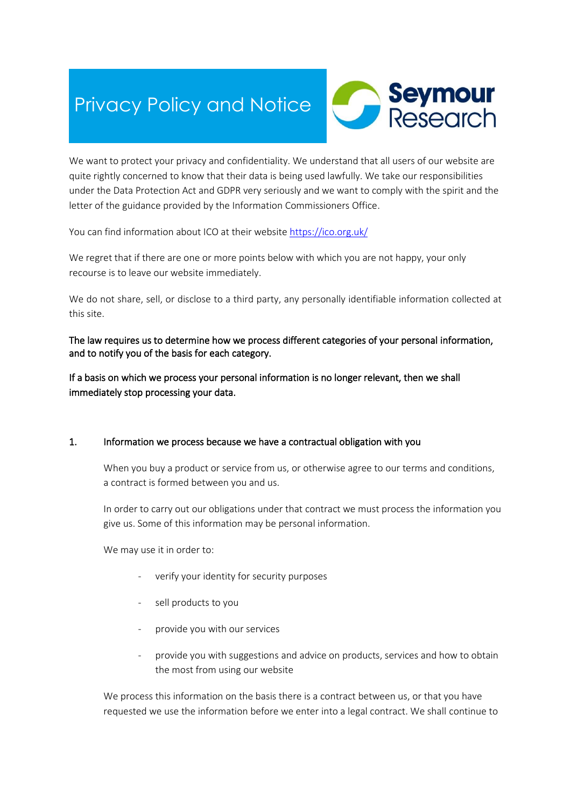# Privacy Policy and Notice



We want to protect your privacy and confidentiality. We understand that all users of our website are quite rightly concerned to know that their data is being used lawfully. We take our responsibilities under the Data Protection Act and GDPR very seriously and we want to comply with the spirit and the letter of the guidance provided by the Information Commissioners Office.

You can find information about ICO at their website<https://ico.org.uk/>

We regret that if there are one or more points below with which you are not happy, your only recourse is to leave our website immediately.

We do not share, sell, or disclose to a third party, any personally identifiable information collected at this site.

The law requires us to determine how we process different categories of your personal information, and to notify you of the basis for each category.

If a basis on which we process your personal information is no longer relevant, then we shall immediately stop processing your data.

# 1. Information we process because we have a contractual obligation with you

When you buy a product or service from us, or otherwise agree to our terms and conditions, a contract is formed between you and us.

In order to carry out our obligations under that contract we must process the information you give us. Some of this information may be personal information.

We may use it in order to:

- verify your identity for security purposes
- sell products to you
- provide you with our services
- provide you with suggestions and advice on products, services and how to obtain the most from using our website

We process this information on the basis there is a contract between us, or that you have requested we use the information before we enter into a legal contract. We shall continue to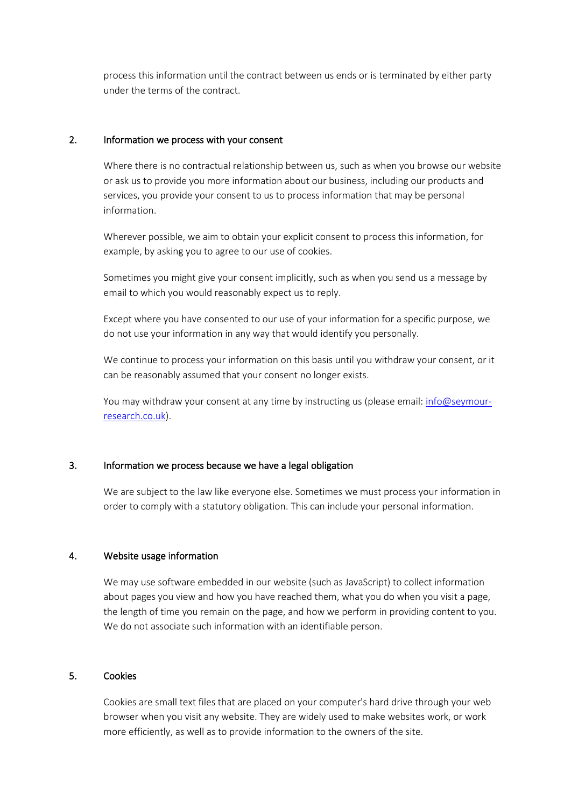process this information until the contract between us ends or is terminated by either party under the terms of the contract.

#### 2. Information we process with your consent

Where there is no contractual relationship between us, such as when you browse our website or ask us to provide you more information about our business, including our products and services, you provide your consent to us to process information that may be personal information.

Wherever possible, we aim to obtain your explicit consent to process this information, for example, by asking you to agree to our use of cookies.

Sometimes you might give your consent implicitly, such as when you send us a message by email to which you would reasonably expect us to reply.

Except where you have consented to our use of your information for a specific purpose, we do not use your information in any way that would identify you personally.

We continue to process your information on this basis until you withdraw your consent, or it can be reasonably assumed that your consent no longer exists.

You may withdraw your consent at any time by instructing us (please email: [info@seymour](mailto:info@seymour-research.co.uk)[research.co.uk\)](mailto:info@seymour-research.co.uk).

# 3. Information we process because we have a legal obligation

We are subject to the law like everyone else. Sometimes we must process your information in order to comply with a statutory obligation. This can include your personal information.

# 4. Website usage information

We may use software embedded in our website (such as JavaScript) to collect information about pages you view and how you have reached them, what you do when you visit a page, the length of time you remain on the page, and how we perform in providing content to you. We do not associate such information with an identifiable person.

#### 5. Cookies

Cookies are small text files that are placed on your computer's hard drive through your web browser when you visit any website. They are widely used to make websites work, or work more efficiently, as well as to provide information to the owners of the site.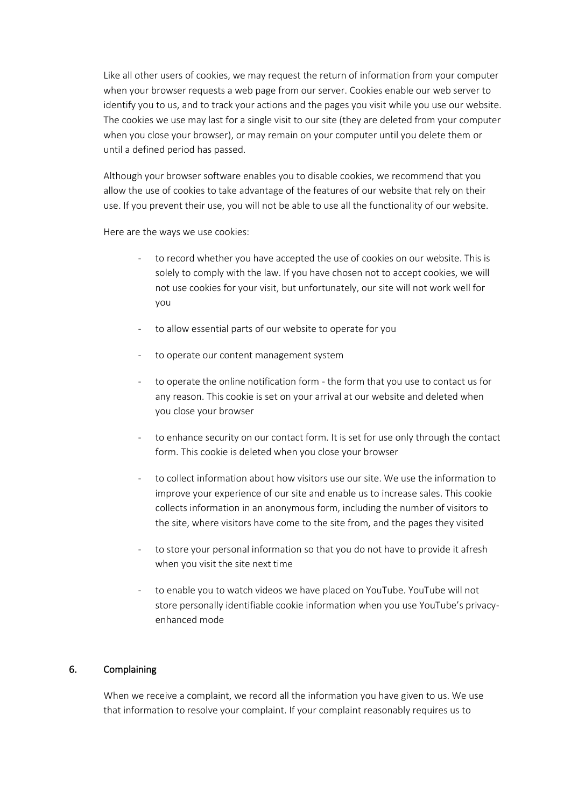Like all other users of cookies, we may request the return of information from your computer when your browser requests a web page from our server. Cookies enable our web server to identify you to us, and to track your actions and the pages you visit while you use our website. The cookies we use may last for a single visit to our site (they are deleted from your computer when you close your browser), or may remain on your computer until you delete them or until a defined period has passed.

Although your browser software enables you to disable cookies, we recommend that you allow the use of cookies to take advantage of the features of our website that rely on their use. If you prevent their use, you will not be able to use all the functionality of our website.

Here are the ways we use cookies:

- to record whether you have accepted the use of cookies on our website. This is solely to comply with the law. If you have chosen not to accept cookies, we will not use cookies for your visit, but unfortunately, our site will not work well for you
- to allow essential parts of our website to operate for you
- to operate our content management system
- to operate the online notification form the form that you use to contact us for any reason. This cookie is set on your arrival at our website and deleted when you close your browser
- to enhance security on our contact form. It is set for use only through the contact form. This cookie is deleted when you close your browser
- to collect information about how visitors use our site. We use the information to improve your experience of our site and enable us to increase sales. This cookie collects information in an anonymous form, including the number of visitors to the site, where visitors have come to the site from, and the pages they visited
- to store your personal information so that you do not have to provide it afresh when you visit the site next time
- to enable you to watch videos we have placed on YouTube. YouTube will not store personally identifiable cookie information when you use YouTube's privacyenhanced mode

# 6. Complaining

When we receive a complaint, we record all the information you have given to us. We use that information to resolve your complaint. If your complaint reasonably requires us to